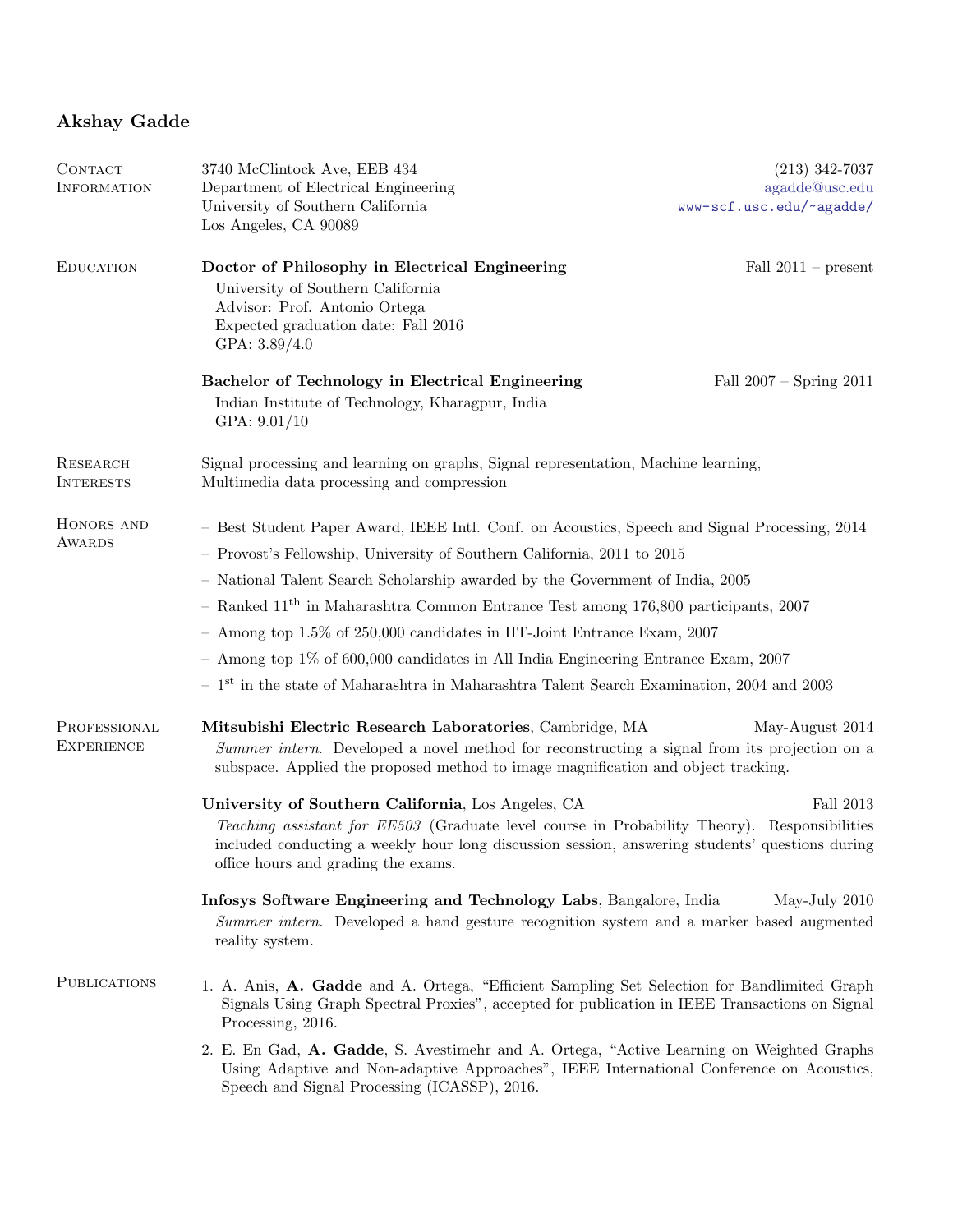## Akshay Gadde

| <b>CONTACT</b>                    | 3740 McClintock Ave, EEB 434                                                                                                                                                                                                                                                                 | $(213)$ 342-7037            |
|-----------------------------------|----------------------------------------------------------------------------------------------------------------------------------------------------------------------------------------------------------------------------------------------------------------------------------------------|-----------------------------|
| <b>INFORMATION</b>                | Department of Electrical Engineering                                                                                                                                                                                                                                                         | agadde@usc.edu              |
|                                   | University of Southern California<br>Los Angeles, CA 90089                                                                                                                                                                                                                                   | www-scf.usc.edu/~agadde/    |
| <b>EDUCATION</b>                  | Doctor of Philosophy in Electrical Engineering<br>University of Southern California<br>Advisor: Prof. Antonio Ortega<br>Expected graduation date: Fall 2016<br>GPA: $3.89/4.0$                                                                                                               | Fall $2011$ – present       |
|                                   | Bachelor of Technology in Electrical Engineering<br>Indian Institute of Technology, Kharagpur, India<br>GPA: $9.01/10$                                                                                                                                                                       | Fall $2007 -$ Spring $2011$ |
| RESEARCH<br><b>INTERESTS</b>      | Signal processing and learning on graphs, Signal representation, Machine learning,<br>Multimedia data processing and compression                                                                                                                                                             |                             |
| HONORS AND<br><b>AWARDS</b>       | - Best Student Paper Award, IEEE Intl. Conf. on Acoustics, Speech and Signal Processing, 2014                                                                                                                                                                                                |                             |
|                                   | - Provost's Fellowship, University of Southern California, 2011 to 2015                                                                                                                                                                                                                      |                             |
|                                   | - National Talent Search Scholarship awarded by the Government of India, 2005                                                                                                                                                                                                                |                             |
|                                   | - Ranked $11^{\text{th}}$ in Maharashtra Common Entrance Test among 176,800 participants, 2007                                                                                                                                                                                               |                             |
|                                   | - Among top 1.5% of 250,000 candidates in IIT-Joint Entrance Exam, 2007                                                                                                                                                                                                                      |                             |
|                                   | - Among top $1\%$ of 600,000 candidates in All India Engineering Entrance Exam, 2007                                                                                                                                                                                                         |                             |
|                                   | $\,$ – $\,1^{\rm st}$ in the state of Maharashtra in Maharashtra Talent Search Examination, 2004 and 2003                                                                                                                                                                                    |                             |
| PROFESSIONAL<br><b>EXPERIENCE</b> | Mitsubishi Electric Research Laboratories, Cambridge, MA<br>Summer intern. Developed a novel method for reconstructing a signal from its projection on a<br>subspace. Applied the proposed method to image magnification and object tracking.                                                | May-August 2014             |
|                                   | University of Southern California, Los Angeles, CA<br>Teaching assistant for EE503 (Graduate level course in Probability Theory). Responsibilities<br>included conducting a weekly hour long discussion session, answering students' questions during<br>office hours and grading the exams. | Fall 2013                   |
|                                   | Infosys Software Engineering and Technology Labs, Bangalore, India<br>May-July 2010<br>Summer intern. Developed a hand gesture recognition system and a marker based augmented<br>reality system.                                                                                            |                             |
| <b>PUBLICATIONS</b>               | 1. A. Anis, A. Gadde and A. Ortega, "Efficient Sampling Set Selection for Bandlimited Graph<br>Signals Using Graph Spectral Proxies", accepted for publication in IEEE Transactions on Signal<br>Processing, 2016.                                                                           |                             |
|                                   | 2. E. En Gad, A. Gadde, S. Avestimehr and A. Ortega, "Active Learning on Weighted Graphs<br>Using Adaptive and Non-adaptive Approaches", IEEE International Conference on Acoustics,<br>Speech and Signal Processing (ICASSP), 2016.                                                         |                             |